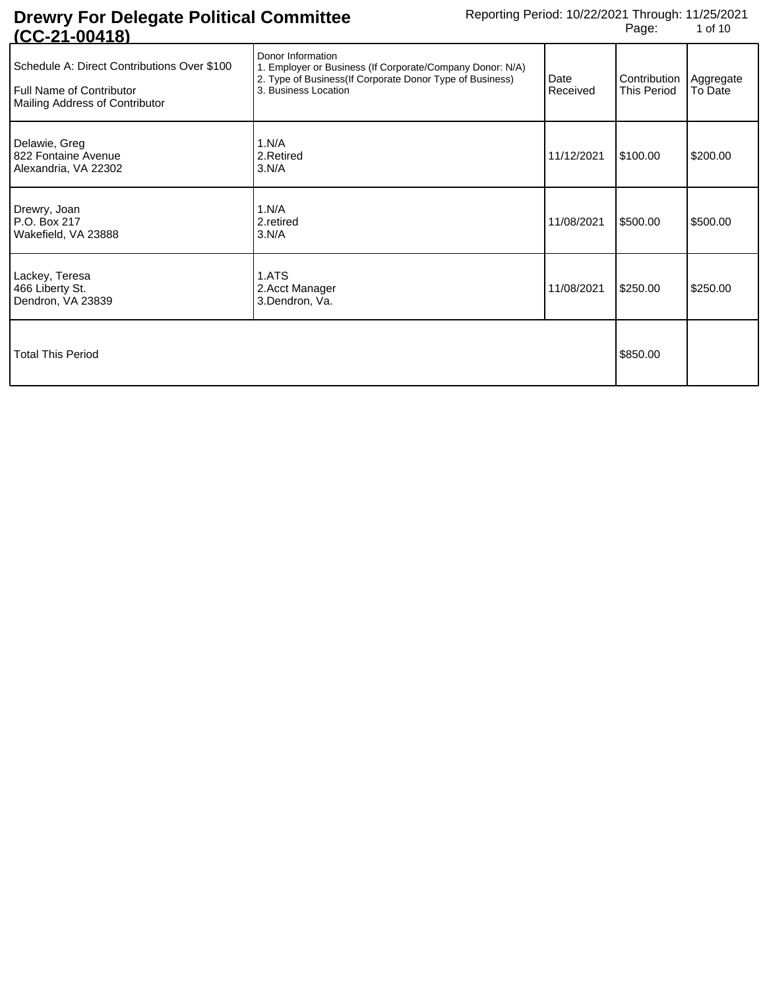| <u> 1992 - 1994 199</u>                                                                                   |                                                                                                                                                                     |                  |                                    |                      |
|-----------------------------------------------------------------------------------------------------------|---------------------------------------------------------------------------------------------------------------------------------------------------------------------|------------------|------------------------------------|----------------------|
| Schedule A: Direct Contributions Over \$100<br>Full Name of Contributor<br>Mailing Address of Contributor | Donor Information<br>1. Employer or Business (If Corporate/Company Donor: N/A)<br>2. Type of Business (If Corporate Donor Type of Business)<br>3. Business Location | Date<br>Received | Contribution<br><b>This Period</b> | Aggregate<br>To Date |
| Delawie, Greg<br>822 Fontaine Avenue<br>Alexandria, VA 22302                                              | 1.N/A<br>2.Retired<br>3.N/A                                                                                                                                         | 11/12/2021       | \$100.00                           | \$200.00             |
| Drewry, Joan<br>P.O. Box 217<br>Wakefield, VA 23888                                                       | 1.N/A<br>2.retired<br>3.N/A                                                                                                                                         | 11/08/2021       | \$500.00                           | \$500.00             |
| Lackey, Teresa<br>466 Liberty St.<br>Dendron, VA 23839                                                    | 1.ATS<br>2.Acct Manager<br>3.Dendron, Va.                                                                                                                           | 11/08/2021       | \$250.00                           | \$250.00             |
| <b>Total This Period</b>                                                                                  |                                                                                                                                                                     |                  | \$850.00                           |                      |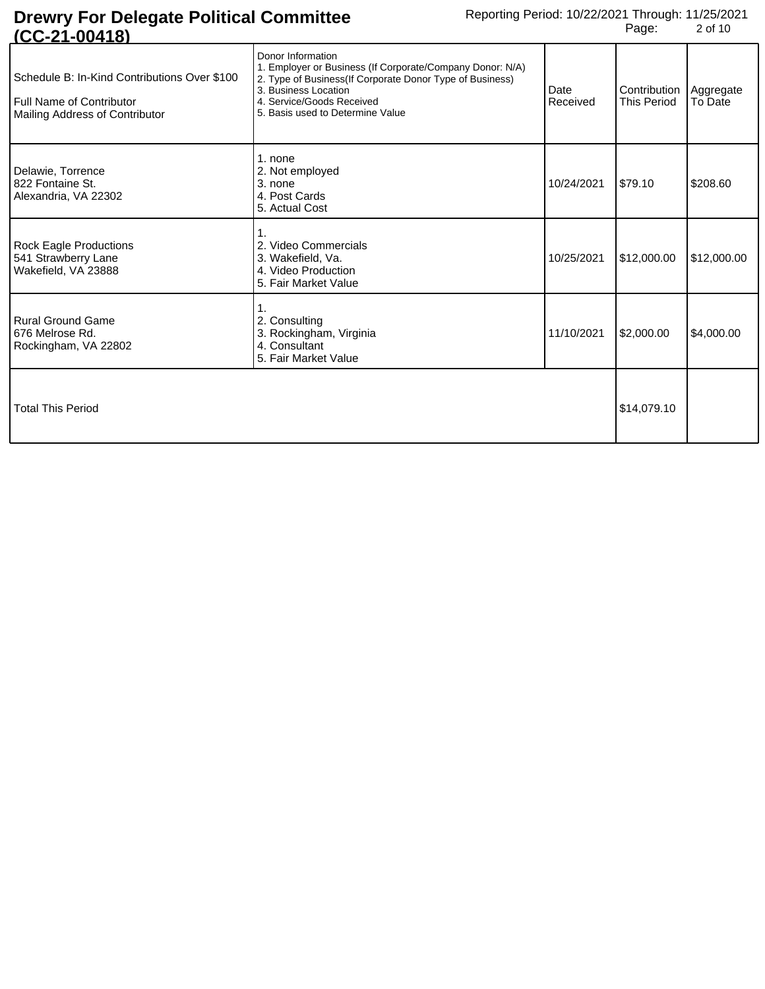| 1014004                                                                                                    |                                                                                                                                                                                                                                     |                  |                                                |             |
|------------------------------------------------------------------------------------------------------------|-------------------------------------------------------------------------------------------------------------------------------------------------------------------------------------------------------------------------------------|------------------|------------------------------------------------|-------------|
| Schedule B: In-Kind Contributions Over \$100<br>Full Name of Contributor<br>Mailing Address of Contributor | Donor Information<br>1. Employer or Business (If Corporate/Company Donor: N/A)<br>2. Type of Business(If Corporate Donor Type of Business)<br>3. Business Location<br>4. Service/Goods Received<br>5. Basis used to Determine Value | Date<br>Received | Contribution   Aggregate<br><b>This Period</b> | To Date     |
| Delawie, Torrence<br>822 Fontaine St.<br>Alexandria, VA 22302                                              | 1. none<br>2. Not employed<br>3. none<br>4. Post Cards<br>5. Actual Cost                                                                                                                                                            | 10/24/2021       | \$79.10                                        | \$208.60    |
| <b>Rock Eagle Productions</b><br>541 Strawberry Lane<br>Wakefield, VA 23888                                | 2. Video Commercials<br>3. Wakefield, Va.<br>4. Video Production<br>5. Fair Market Value                                                                                                                                            | 10/25/2021       | \$12,000.00                                    | \$12,000.00 |
| Rural Ground Game<br>676 Melrose Rd.<br>Rockingham, VA 22802                                               | 2. Consulting<br>3. Rockingham, Virginia<br>4. Consultant<br>5. Fair Market Value                                                                                                                                                   | 11/10/2021       | \$2,000.00                                     | \$4,000.00  |
| <b>Total This Period</b>                                                                                   |                                                                                                                                                                                                                                     |                  | \$14,079.10                                    |             |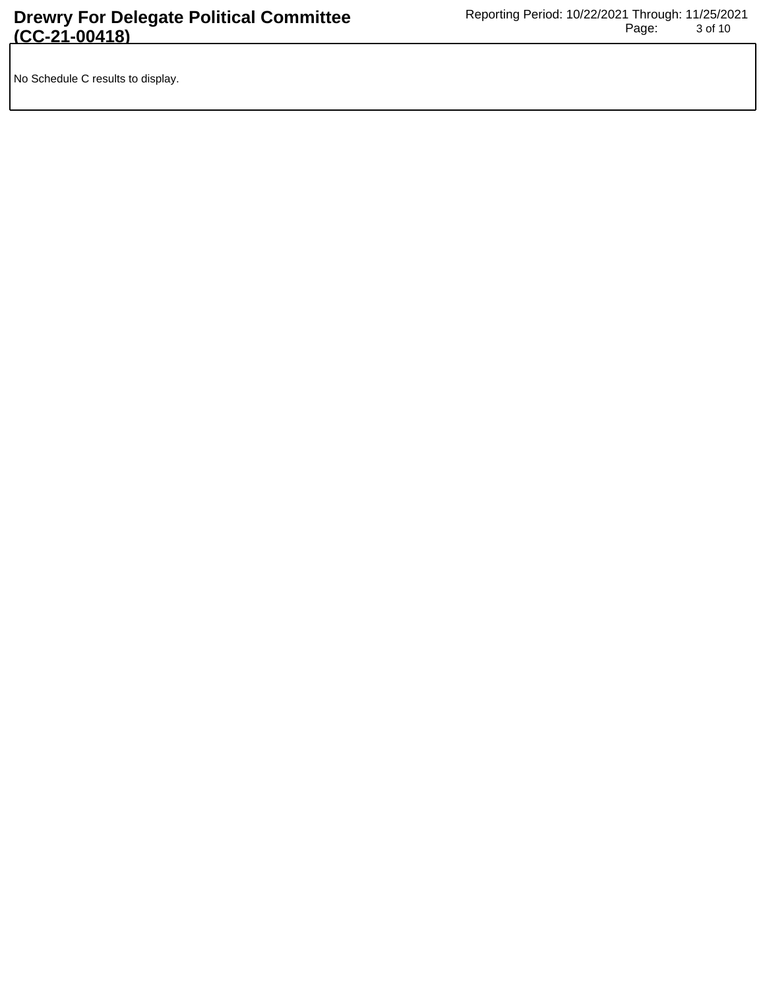No Schedule C results to display.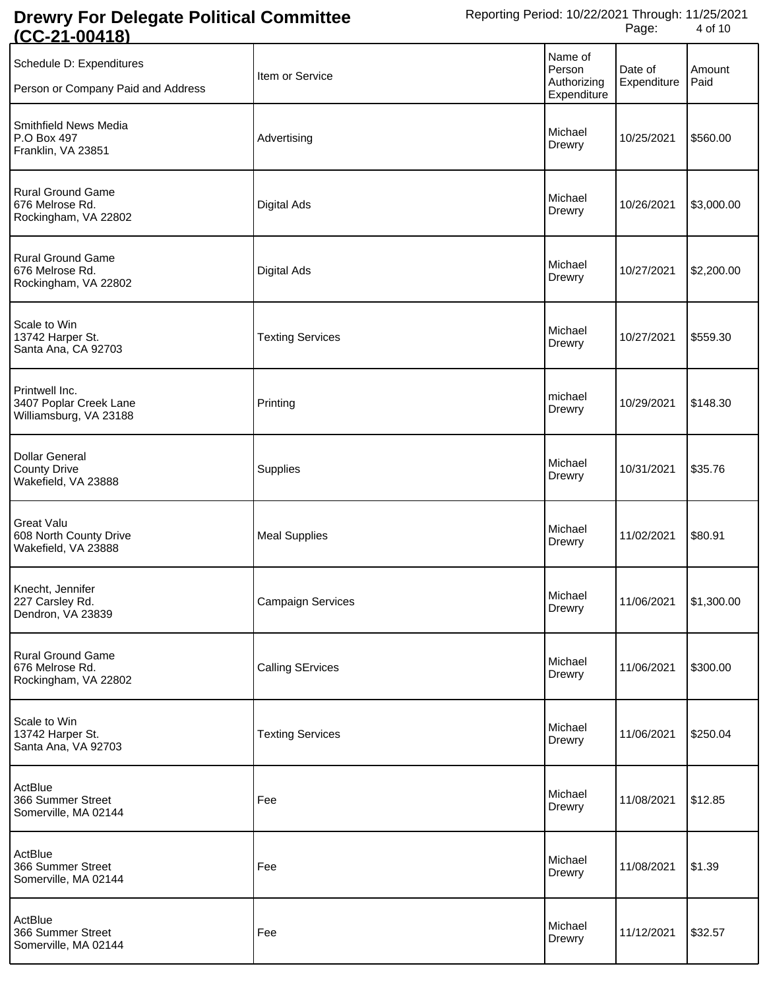| <u>1992 - 1994 199</u>                                              |                          |                                                 |                        |                |
|---------------------------------------------------------------------|--------------------------|-------------------------------------------------|------------------------|----------------|
| Schedule D: Expenditures<br>Person or Company Paid and Address      | Item or Service          | Name of<br>Person<br>Authorizing<br>Expenditure | Date of<br>Expenditure | Amount<br>Paid |
| Smithfield News Media<br>P.O Box 497<br>Franklin, VA 23851          | Advertising              | Michael<br>Drewry                               | 10/25/2021             | \$560.00       |
| <b>Rural Ground Game</b><br>676 Melrose Rd.<br>Rockingham, VA 22802 | Digital Ads              | Michael<br>Drewry                               | 10/26/2021             | \$3,000.00     |
| <b>Rural Ground Game</b><br>676 Melrose Rd.<br>Rockingham, VA 22802 | <b>Digital Ads</b>       | Michael<br>Drewry                               | 10/27/2021             | \$2,200.00     |
| Scale to Win<br>13742 Harper St.<br>Santa Ana, CA 92703             | <b>Texting Services</b>  | Michael<br>Drewry                               | 10/27/2021             | \$559.30       |
| Printwell Inc.<br>3407 Poplar Creek Lane<br>Williamsburg, VA 23188  | Printing                 | michael<br>Drewry                               | 10/29/2021             | \$148.30       |
| <b>Dollar General</b><br><b>County Drive</b><br>Wakefield, VA 23888 | Supplies                 | Michael<br>Drewry                               | 10/31/2021             | \$35.76        |
| <b>Great Valu</b><br>608 North County Drive<br>Wakefield, VA 23888  | <b>Meal Supplies</b>     | Michael<br>Drewry                               | 11/02/2021             | \$80.91        |
| Knecht, Jennifer<br>227 Carsley Rd.<br>Dendron, VA 23839            | <b>Campaign Services</b> | Michael<br>Drewry                               |                        |                |
| <b>Rural Ground Game</b><br>676 Melrose Rd.<br>Rockingham, VA 22802 | <b>Calling SErvices</b>  | Michael<br>Drewry                               | 11/06/2021             | \$300.00       |
| Scale to Win<br>13742 Harper St.<br>Santa Ana, VA 92703             | <b>Texting Services</b>  | Michael<br>Drewry                               | 11/06/2021             | \$250.04       |
| ActBlue<br>366 Summer Street<br>Somerville, MA 02144                | Fee                      | Michael<br>Drewry                               | 11/08/2021             | \$12.85        |
| ActBlue<br>366 Summer Street<br>Somerville, MA 02144                | Fee                      | Michael<br>Drewry                               | 11/08/2021             | \$1.39         |
| ActBlue<br>366 Summer Street<br>Somerville, MA 02144                | Fee                      | Michael<br>Drewry                               | 11/12/2021             | \$32.57        |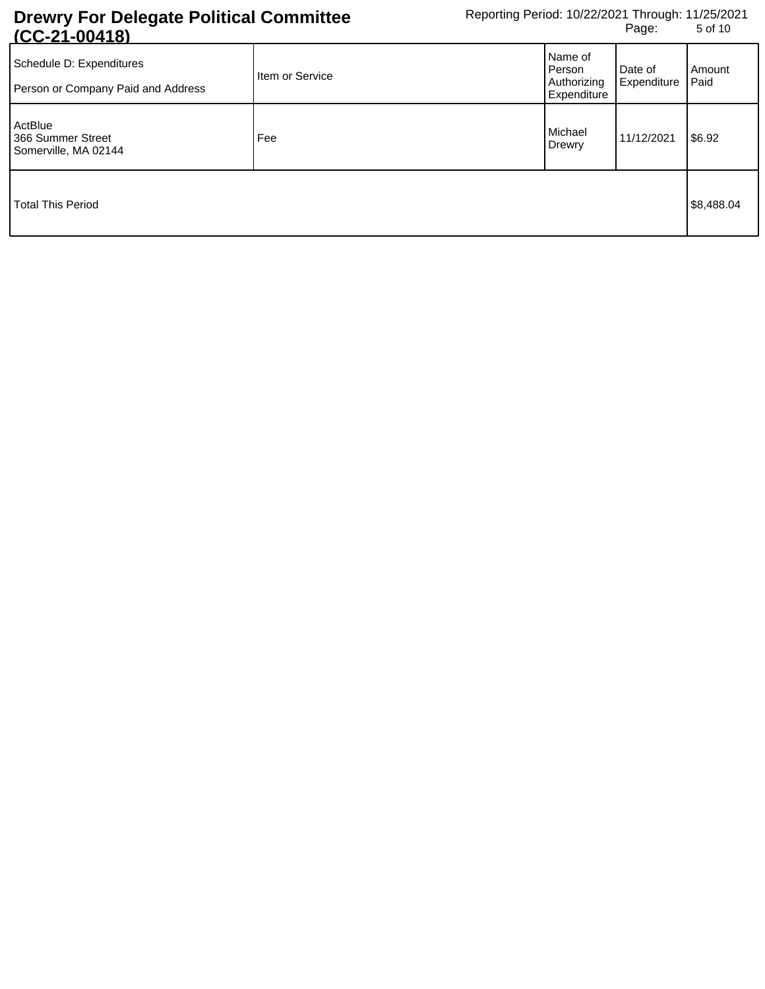| Schedule D: Expenditures<br>Person or Company Paid and Address | Item or Service | Name of<br>Person<br>Authorizing<br>Expenditure | Date of<br>Expenditure | Amount<br>Paid |
|----------------------------------------------------------------|-----------------|-------------------------------------------------|------------------------|----------------|
| ActBlue<br>366 Summer Street<br>Somerville, MA 02144           | Fee             | Michael<br>Drewry                               | 11/12/2021             | \$6.92         |
| Total This Period                                              |                 |                                                 |                        | \$8,488.04     |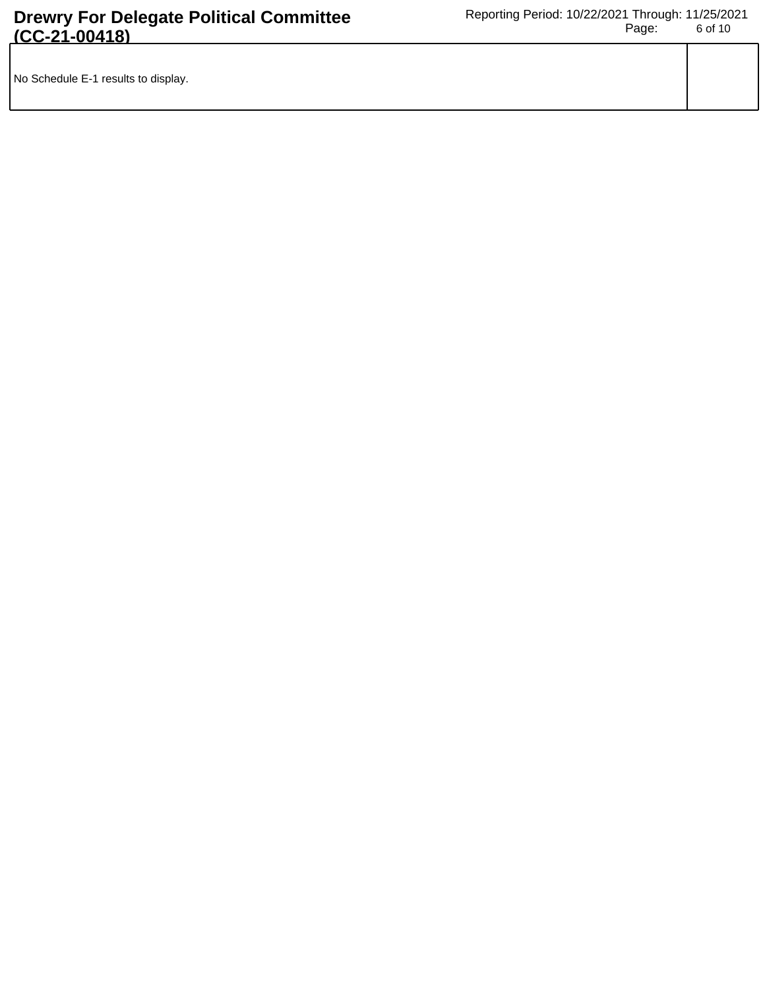| No Schedule E-1 results to display. |  |
|-------------------------------------|--|
|                                     |  |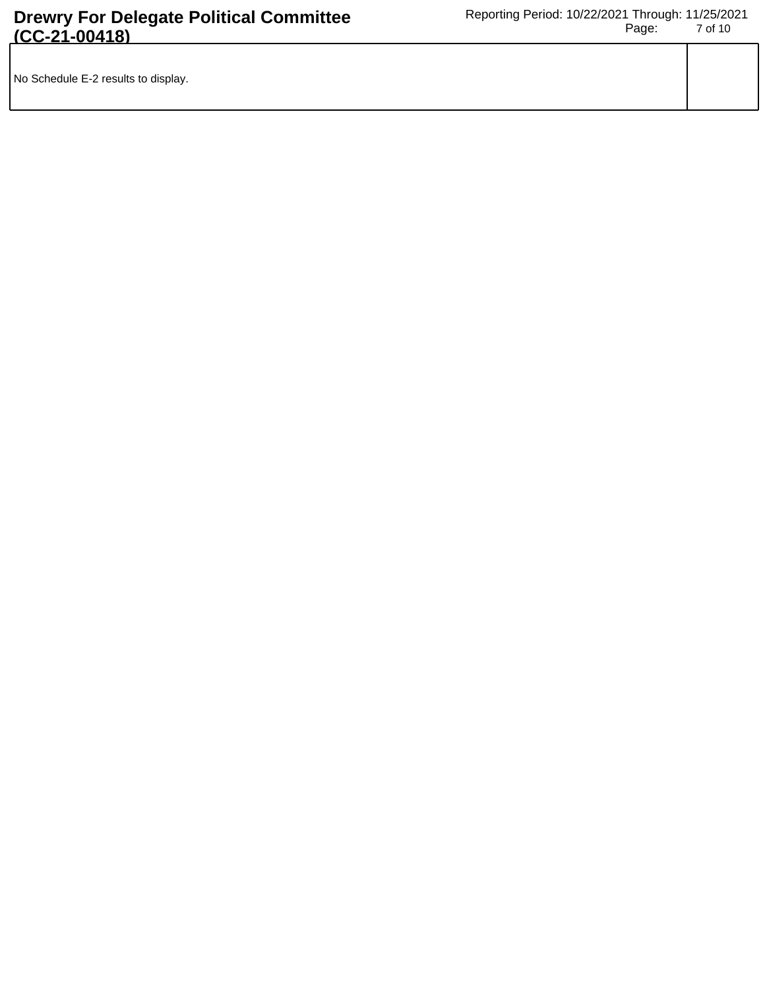| No Schedule E-2 results to display. |  |
|-------------------------------------|--|
|                                     |  |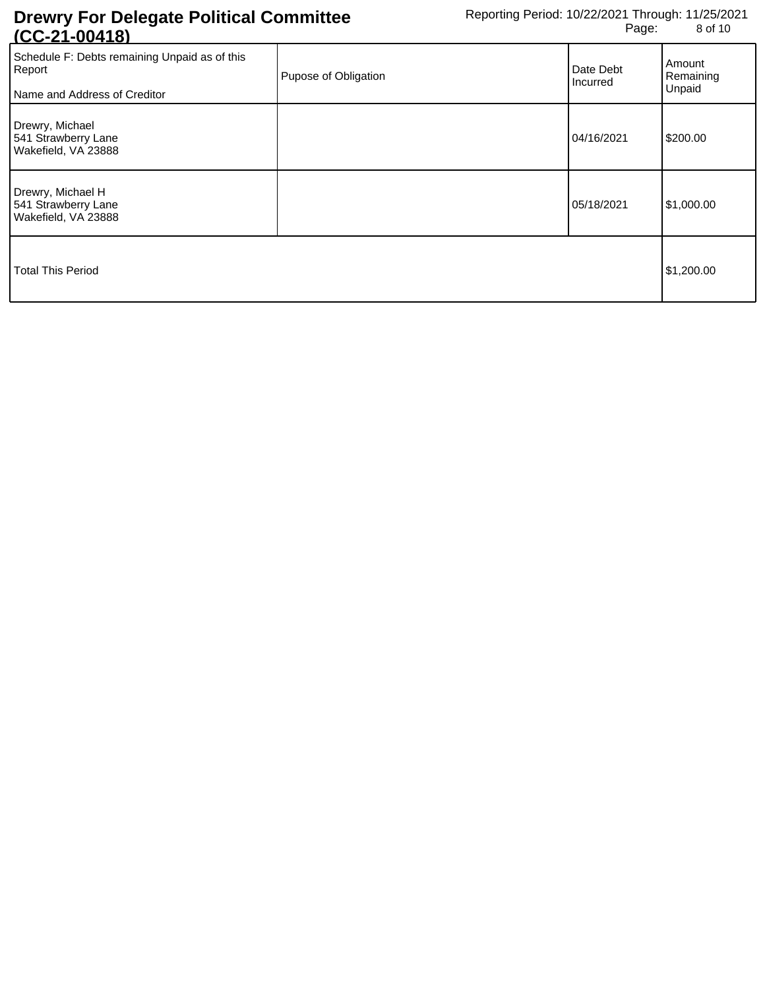| <u>100-21-004101</u>                                                                    |                      |                       |                               |
|-----------------------------------------------------------------------------------------|----------------------|-----------------------|-------------------------------|
| Schedule F: Debts remaining Unpaid as of this<br>Report<br>Name and Address of Creditor | Pupose of Obligation | Date Debt<br>Incurred | Amount<br>Remaining<br>Unpaid |
| Drewry, Michael<br>541 Strawberry Lane<br>Wakefield, VA 23888                           |                      | 04/16/2021            | \$200.00                      |
| Drewry, Michael H<br>541 Strawberry Lane<br>Wakefield, VA 23888                         |                      | 05/18/2021            | \$1,000.00                    |
| <b>Total This Period</b>                                                                |                      |                       | \$1,200.00                    |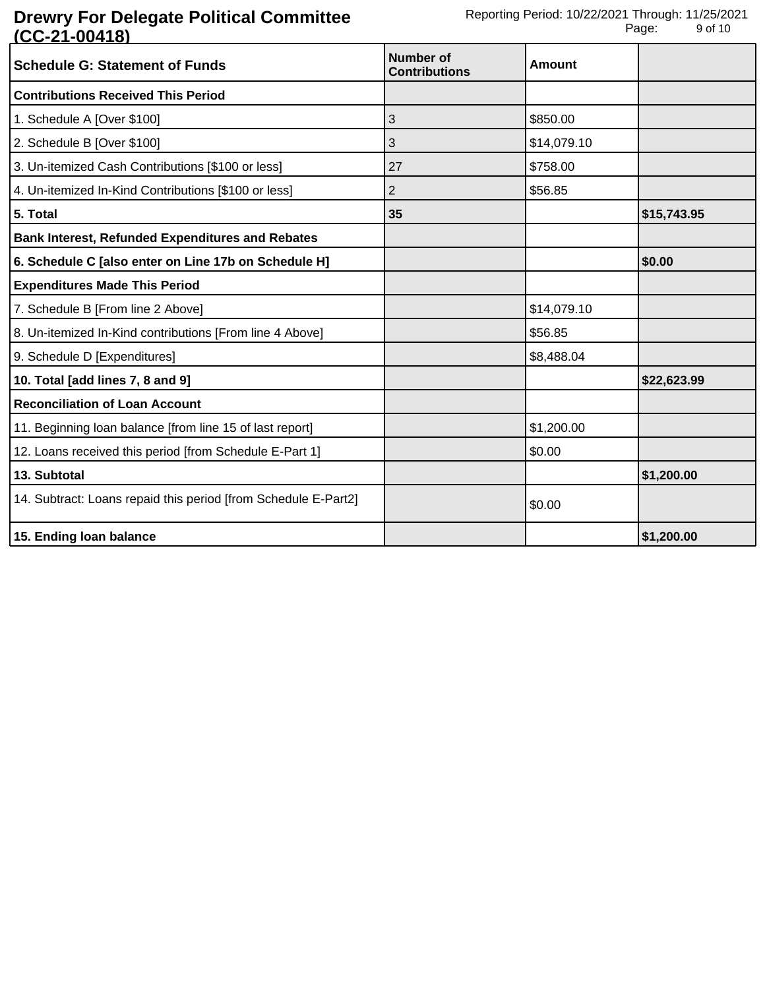| <b>Schedule G: Statement of Funds</b>                          | Number of<br><b>Contributions</b> | Amount      |             |
|----------------------------------------------------------------|-----------------------------------|-------------|-------------|
| <b>Contributions Received This Period</b>                      |                                   |             |             |
| 1. Schedule A [Over \$100]                                     | 3                                 | \$850.00    |             |
| 2. Schedule B [Over \$100]                                     | 3                                 | \$14,079.10 |             |
| 3. Un-itemized Cash Contributions [\$100 or less]              | 27                                | \$758.00    |             |
| 4. Un-itemized In-Kind Contributions [\$100 or less]           | 2                                 | \$56.85     |             |
| 5. Total                                                       | 35                                |             | \$15,743.95 |
| <b>Bank Interest, Refunded Expenditures and Rebates</b>        |                                   |             |             |
| 6. Schedule C [also enter on Line 17b on Schedule H]           |                                   |             | \$0.00      |
| <b>Expenditures Made This Period</b>                           |                                   |             |             |
| 7. Schedule B [From line 2 Above]                              |                                   | \$14,079.10 |             |
| 8. Un-itemized In-Kind contributions [From line 4 Above]       |                                   | \$56.85     |             |
| 9. Schedule D [Expenditures]                                   |                                   | \$8,488.04  |             |
| 10. Total [add lines 7, 8 and 9]                               |                                   |             | \$22,623.99 |
| <b>Reconciliation of Loan Account</b>                          |                                   |             |             |
| 11. Beginning loan balance [from line 15 of last report]       |                                   | \$1,200.00  |             |
| 12. Loans received this period [from Schedule E-Part 1]        |                                   | \$0.00      |             |
| 13. Subtotal                                                   |                                   |             | \$1,200.00  |
| 14. Subtract: Loans repaid this period [from Schedule E-Part2] |                                   | \$0.00      |             |
| 15. Ending loan balance                                        |                                   |             | \$1,200.00  |